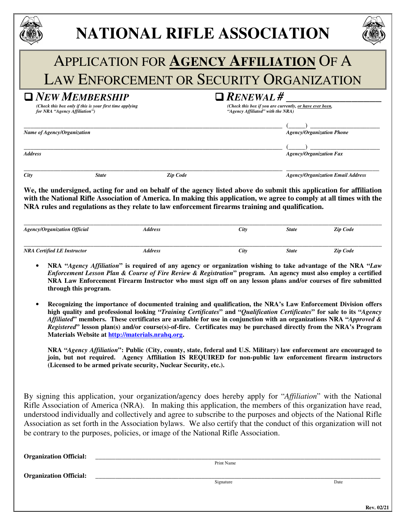|                                     |                                                                                           | <b>NATIONAL RIFLE ASSOCIATION</b>                                                                                                                                                                                                                                                                                                               |                                                       |                                                          |                                          |
|-------------------------------------|-------------------------------------------------------------------------------------------|-------------------------------------------------------------------------------------------------------------------------------------------------------------------------------------------------------------------------------------------------------------------------------------------------------------------------------------------------|-------------------------------------------------------|----------------------------------------------------------|------------------------------------------|
|                                     |                                                                                           | <b>APPLICATION FOR AGENCY AFFILIATION OF A</b>                                                                                                                                                                                                                                                                                                  |                                                       |                                                          |                                          |
|                                     |                                                                                           | <b>LAW ENFORCEMENT OR SECURITY ORGANIZATION</b>                                                                                                                                                                                                                                                                                                 |                                                       |                                                          |                                          |
| for NRA "Agency Affiliation")       | $\blacksquare$ New Membership<br>(Check this box only if this is your first time applying |                                                                                                                                                                                                                                                                                                                                                 | $\Box$ RENEWAL #<br>"Agency Affiliated" with the NRA) | (Check this box if you are currently, or have ever been, |                                          |
| Name of Agency/Organization         |                                                                                           |                                                                                                                                                                                                                                                                                                                                                 |                                                       |                                                          | <b>Agency/Organization Phone</b>         |
| <b>Address</b>                      |                                                                                           |                                                                                                                                                                                                                                                                                                                                                 |                                                       | <b>Agency/Organization Fax</b>                           |                                          |
| City                                | <b>State</b>                                                                              | <b>Zip Code</b>                                                                                                                                                                                                                                                                                                                                 |                                                       |                                                          | <b>Agency/Organization Email Address</b> |
|                                     |                                                                                           | We, the undersigned, acting for and on behalf of the agency listed above do submit this application for affiliation<br>with the National Rifle Association of America. In making this application, we agree to comply at all times with the<br>NRA rules and regulations as they relate to law enforcement firearms training and qualification. |                                                       |                                                          |                                          |
| <b>Agency/Organization Official</b> |                                                                                           | <b>Address</b>                                                                                                                                                                                                                                                                                                                                  | City                                                  | <b>State</b>                                             | <b>Zip Code</b>                          |
| <b>NRA Certified LE Instructor</b>  |                                                                                           | <b>Address</b>                                                                                                                                                                                                                                                                                                                                  | City                                                  | <b>State</b>                                             | <b>Zip Code</b>                          |

- **NRA "***Agency Affiliation***" is required of any agency or organization wishing to take advantage of the NRA "***Law Enforcement Lesson Plan & Course of Fire Review & Registration***" program. An agency must also employ a certified NRA Law Enforcement Firearm Instructor who must sign off on any lesson plans and/or courses of fire submitted through this program.**
- **Recognizing the importance of documented training and qualification, the NRA's Law Enforcement Division offers high quality and professional looking "***Training Certificates***" and "***Qualification Certificates***" for sale to its "***Agency Affiliated***" members. These certificates are available for use in conjunction with an organizations NRA "***Approved & Registered***" lesson plan(s) and/or course(s)-of-fire. Certificates may be purchased directly from the NRA's Program Materials Website at http://materials.nrahq.org.**

**NRA "***Agency Affiliation***": Public (City, county, state, federal and U.S. Military) law enforcement are encouraged to join, but not required. Agency Affiliation IS REQUIRED for non-public law enforcement firearm instructors (Licensed to be armed private security, Nuclear Security, etc.).** 

By signing this application, your organization/agency does hereby apply for "*Affiliation*" with the National Rifle Association of America (NRA). In making this application, the members of this organization have read, understood individually and collectively and agree to subscribe to the purposes and objects of the National Rifle Association as set forth in the Association bylaws. We also certify that the conduct of this organization will not be contrary to the purposes, policies, or image of the National Rifle Association.

**Organization Official:** \_\_\_\_\_\_\_\_\_\_\_\_\_\_\_\_\_\_\_\_\_\_\_\_\_\_\_\_\_\_\_\_\_\_\_\_\_\_\_\_\_\_\_\_\_\_\_\_\_\_\_\_\_\_\_\_\_\_\_\_\_\_\_\_\_\_\_\_\_\_\_\_\_\_\_\_\_\_\_\_\_\_\_\_\_\_ Print Name **Organization Official:** Signature Date and Date and Date of the Second Late of the Second Late of the Date of the Date of the Date of the Date of the Date of the United States of the United States of the United States of the United States of the